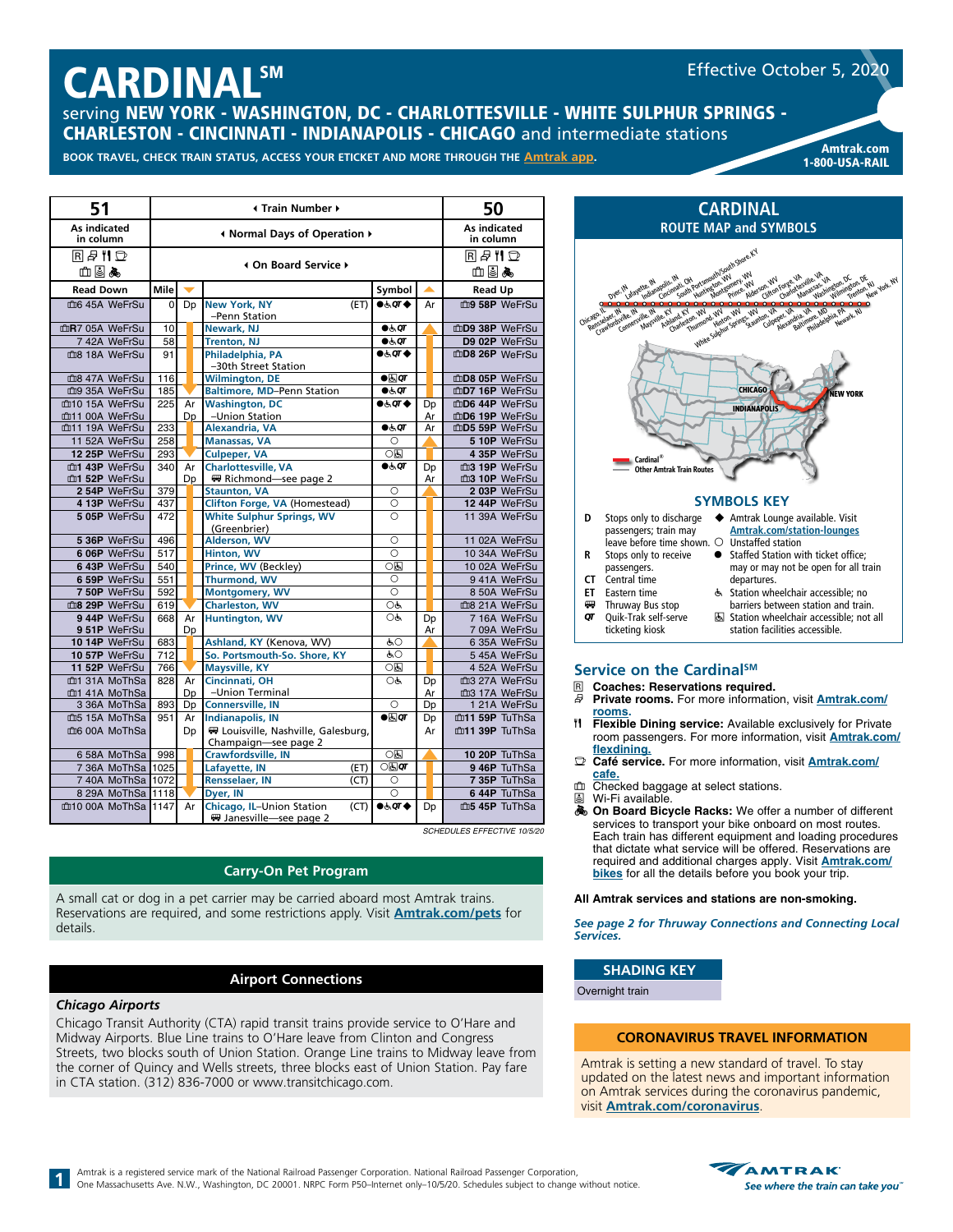# **CARDINALSM**

Effective October 5, 2020

serving NEW YORK - WASHINGTON, DC - CHARLOTTESVILLE - WHITE SULPHUR SPRINGS - CHARLESTON - CINCINNATI - INDIANAPOLIS - CHICAGO and intermediate stations

**BOOK TRAVEL, CHECK TRAIN STATUS, ACCESS YOUR ETICKET AND MORE THROUGH THE [Amtrak app](https://www.amtrak.com/mobile). Amtrak and a metal and a metal and and a** 

1-800-USA-RAIL

| 51                        |                      | <b>I</b> Train Number ▶ |                                                              |                             | 50          |                |  |
|---------------------------|----------------------|-------------------------|--------------------------------------------------------------|-----------------------------|-------------|----------------|--|
| As indicated<br>in column |                      |                         | As indicated<br>in column                                    |                             |             |                |  |
| RA‼D<br>య!⊗∧ద             | 4 On Board Service ▶ |                         |                                                              |                             | RA‼D<br>血目丸 |                |  |
| <b>Read Down</b>          | Mile                 |                         |                                                              | Symbol                      | ▲           | <b>Read Up</b> |  |
| m6 45A WeFrSu             | $\Omega$             | Dp                      | <b>New York, NY</b><br>(ET)                                  | $0.50T$ $\blacklozenge$     | Ar          | m9 58P WeFrSu  |  |
|                           |                      |                         | -Penn Station                                                |                             |             |                |  |
| mR7 05A WeFrSu            | 10                   |                         | Newark, NJ                                                   | $\bullet \in \mathsf{QT}$   |             | mD9 38P WeFrSu |  |
| 742A WeFrSu               | 58                   |                         | <b>Trenton, NJ</b>                                           | $\bullet$ க்ர               |             | D9 02P WeFrSu  |  |
| m <sub>8</sub> 18A WeFrSu | 91                   |                         | Philadelphia, PA                                             | $0.50T$ $\blacklozenge$     |             | mD8 26P WeFrSu |  |
| 血8 47A WeFrSu             | 116                  |                         | -30th Street Station                                         | $\bullet$ $\overline{a}$ or |             | mD8 05P WeFrSu |  |
| mg 35A WeFrSu             | 185                  |                         | <b>Wilmington, DE</b><br><b>Baltimore, MD-Penn Station</b>   | $\bullet$ க்ர               |             | mD7 16P WeFrSu |  |
| m10 15A WeFrSu            | 225                  | Ar                      | <b>Washington, DC</b>                                        | $0.50T$ $\blacklozenge$     | Dp          | mD6 44P WeFrSu |  |
| mt11 00A WeFrSu           |                      | Dp                      | -Union Station                                               |                             | Ar          | mD6 19P WeFrSu |  |
| muti 19A WeFrSu           | 233                  |                         | Alexandria, VA                                               | $\bullet \in \sigma$        | Ar          | mD5 59P WeFrSu |  |
| 11 52A WeFrSu             | 258                  |                         | <b>Manassas, VA</b>                                          | $\circ$                     |             | 5 10P WeFrSu   |  |
| 12 25P WeFrSu             | 293                  |                         | <b>Culpeper, VA</b>                                          | ाडा                         |             | 4 35P WeFrSu   |  |
| m1 43P WeFrSu             | 340                  | Ar                      | <b>Charlottesville, VA</b>                                   | $\bullet \in \sigma$        | Dp          | m3 19P WeFrSu  |  |
| m1 52P WeFrSu             |                      | Dp                      | Richmond-see page 2                                          |                             | Ar          | m3 10P WeFrSu  |  |
| 2 54P WeFrSu              | 379                  |                         | <b>Staunton, VA</b>                                          | $\circ$                     |             | 203P WeFrSu    |  |
| 4 13P WeFrSu              | 437                  |                         | Clifton Forge, VA (Homestead)                                | $\circ$                     |             | 12 44P WeFrSu  |  |
| 5 05P WeFrSu              | 472                  |                         | <b>White Sulphur Springs, WV</b><br>(Greenbrier)             | $\circ$                     |             | 11 39A WeFrSu  |  |
| 5 36P WeFrSu              | 496                  |                         | Alderson, WV                                                 | $\overline{\circ}$          |             | 11 02A WeFrSu  |  |
| 6 06P WeFrSu              | 517                  |                         | <b>Hinton, WV</b>                                            | $\overline{\circ}$          |             | 10 34A WeFrSu  |  |
| 6 43P WeFrSu              | 540                  |                         | Prince, WV (Beckley)                                         | ○६                          |             | 10 02A WeFrSu  |  |
| 6 59P WeFrSu              | 551                  |                         | <b>Thurmond, WV</b>                                          | $\circ$                     |             | 941A WeFrSu    |  |
| 7 50P WeFrSu              | 592                  |                         | <b>Montgomery, WV</b>                                        | O                           |             | 8 50A WeFrSu   |  |
| m8 29P WeFrSu             | 619                  |                         | <b>Charleston, WV</b>                                        | OĠ                          |             | ma 21A WeFrSu  |  |
| 944P WeFrSu               | 668                  | Ar                      | <b>Huntington, WV</b>                                        | Oģ                          | Dp          | 716A WeFrSu    |  |
| 951P WeFrSu               |                      | Dp                      |                                                              |                             | Ar          | 7 09A WeFrSu   |  |
| 10 14P WeFrSu             | 683                  |                         | Ashland, KY (Kenova, WV)                                     | ĠО                          |             | 6 35A WeFrSu   |  |
| 10 57P WeFrSu             | 712                  |                         | So. Portsmouth-So. Shore, KY                                 | ĠО                          |             | 545A WeFrSu    |  |
| 11 52P WeFrSu             | 766                  |                         | <b>Maysville, KY</b>                                         | ○६                          |             | 4 52A WeFrSu   |  |
| m <sub>1</sub> 31A MoThSa | 828                  | Ar                      | Cincinnati, OH                                               | OĠ                          | Dp          | m3 27A WeFrSu  |  |
| m <sub>1</sub> 41A MoThSa |                      | Dp                      | -Union Terminal                                              |                             | Ar          | m3 17A WeFrSu  |  |
| 3 36A MoThSa              | 893                  | Dp                      | <b>Connersville, IN</b>                                      | $\circ$                     | Dp          | 1 21A WeFrSu   |  |
| m5 15A MoThSa             | 951                  | Ar                      | <b>Indianapolis, IN</b>                                      | $\bullet$ ar                | Dp          | m11 59P TuThSa |  |
| m <sub>6</sub> 00A MoThSa |                      | Dp                      | 要 Louisville, Nashville, Galesburg,                          |                             | Ar          | m11 39P TuThSa |  |
|                           |                      |                         | Champaign-see page 2                                         |                             |             |                |  |
| 6 58A MoThSa              | 998                  |                         | Crawfordsville, IN                                           | ाड                          |             | 10 20P TuThSa  |  |
| 7 36A MoThSa              | 1025                 |                         | Lafayette, IN<br>(ET)                                        | $\circ$ ह्य $\sigma$        |             | 946P TuThSa    |  |
| 7 40A MoThSa 1072         |                      |                         | <b>Rensselaer, IN</b><br>(CT)                                | O                           |             | 7 35P TuThSa   |  |
| 8 29A MoThSa 11118        |                      |                         | Dyer, IN                                                     | $\bigcirc$                  |             | 644P TuThSa    |  |
| 血10 00A MoThSa 1147       |                      | Ar                      | Chicago, IL-Union Station<br>(CT)<br>₩ Janesville-see page 2 | <b>●よの◆</b>                 | Dp          | m5 45P TuThSa  |  |

*SCHEDULES EFFECTIVE 10/5/20*

# **Carry-On Pet Program**

A small cat or dog in a pet carrier may be carried aboard most Amtrak trains. Reservations are required, and some restrictions apply. Visit **[Amtrak.com/pets](https://www.amtrak.com/pets)** for details.

### **Airport Connections**

#### *Chicago Airports*

**1**

Chicago Transit Authority (CTA) rapid transit trains provide service to O'Hare and Midway Airports. Blue Line trains to O'Hare leave from Clinton and Congress Streets, two blocks south of Union Station. Orange Line trains to Midway leave from the corner of Quincy and Wells streets, three blocks east of Union Station. Pay fare in CTA station. (312) 836-7000 or www.transitchicago.com.



| Đ  | Stops only to discharge<br>passengers; train may | ← Amtrak Lounge available. Visit<br><b>Amtrak.com/station-lounges</b> |
|----|--------------------------------------------------|-----------------------------------------------------------------------|
|    | leave before time shown. O Unstaffed station     |                                                                       |
| R  | Stops only to receive                            | Staffed Station with ticket office;                                   |
|    | passengers.                                      | may or may not be open for all train                                  |
| CТ | Central time                                     | departures.                                                           |
| FT | Eastern time                                     | & Station wheelchair accessible; no                                   |
| ₩  | Thruway Bus stop                                 | barriers between station and train.                                   |
| σт | Ouik-Trak self-serve                             | Station wheelchair accessible; not all                                |
|    | ticketing kiosk                                  | station facilities accessible.                                        |

#### Service on the Cardinal<sup>sM</sup>

- **R Coaches: Reservations required.**<br>*R* **Private rooms** For more information
	- **Private rooms.** For more information, visit **[Amtrak.com/](https://www.amtrak.com/rooms)**
- **rooms.** d **Flexible Dining service:** Available exclusively for Private room passengers. For more information, visit **[Amtrak.com/](https://www.amtrak.com/flexdining) [flexdining.](https://www.amtrak.com/flexdining)**
- y **Café service.** For more information, visit **[Amtrak.com/](https://www.amtrak.com/onboard/meals-dining/cafe-car.html) cafe.**
- 血 Checked baggage at select stations.<br>图 Wi-Fi available
- å Wi-Fi available.
- $\clubsuit$  **On Board Bicycle Racks:** We offer a number of different services to transport your bike onboard on most routes. Each train has different equipment and loading procedures that dictate what service will be offered. Reservations are required and additional charges apply. Visit **[Amtrak.com/](https://www.amtrak.com/bikes) [bikes](https://www.amtrak.com/bikes)** for all the details before you book your trip.

#### **All Amtrak services and stations are non-smoking.**

*See page 2 for Thruway Connections and Connecting Local Services.*

#### **SHADING KEY**

Overnight train

#### **CORONAVIRUS TRAVEL INFORMATION**

Amtrak is setting a new standard of travel. To stay updated on the latest news and important information on Amtrak services during the coronavirus pandemic, visit **[Amtrak.com/](https://www.amtrak.com/coronavirus)coronavirus**.

Amtrak is a registered service mark of the National Railroad Passenger Corporation. National Railroad Passenger Corporation, One Massachusetts Ave. N.W., Washington, DC 20001. NRPC Form P50–Internet only–10/5/20. Schedules subject to change without notice.